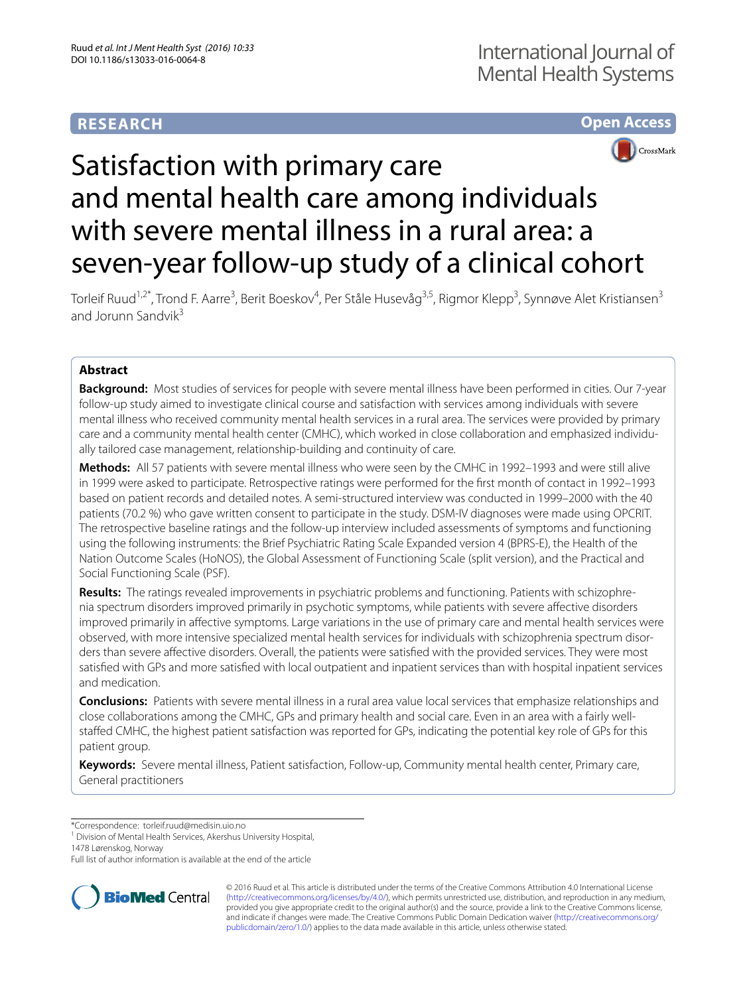## **RESEARCH**



# Satisfaction with primary care and mental health care among individuals with severe mental illness in a rural area: a seven-year follow-up study of a clinical cohort

Torleif Ruud<sup>1,2\*</sup>, Trond F. Aarre<sup>3</sup>, Berit Boeskov<sup>4</sup>, Per Ståle Husevåg<sup>3,5</sup>, Rigmor Klepp<sup>3</sup>, Synnøve Alet Kristiansen<sup>3</sup> and Jorunn Sandvik<sup>3</sup>

## **Abstract**

**Background:** Most studies of services for people with severe mental illness have been performed in cities. Our 7-year follow-up study aimed to investigate clinical course and satisfaction with services among individuals with severe mental illness who received community mental health services in a rural area. The services were provided by primary care and a community mental health center (CMHC), which worked in close collaboration and emphasized individually tailored case management, relationship-building and continuity of care.

**Methods:** All 57 patients with severe mental illness who were seen by the CMHC in 1992–1993 and were still alive in 1999 were asked to participate. Retrospective ratings were performed for the first month of contact in 1992–1993 based on patient records and detailed notes. A semi-structured interview was conducted in 1999–2000 with the 40 patients (70.2 %) who gave written consent to participate in the study. DSM-IV diagnoses were made using OPCRIT. The retrospective baseline ratings and the follow-up interview included assessments of symptoms and functioning using the following instruments: the Brief Psychiatric Rating Scale Expanded version 4 (BPRS-E), the Health of the Nation Outcome Scales (HoNOS), the Global Assessment of Functioning Scale (split version), and the Practical and Social Functioning Scale (PSF).

**Results:** The ratings revealed improvements in psychiatric problems and functioning. Patients with schizophrenia spectrum disorders improved primarily in psychotic symptoms, while patients with severe affective disorders improved primarily in affective symptoms. Large variations in the use of primary care and mental health services were observed, with more intensive specialized mental health services for individuals with schizophrenia spectrum disorders than severe affective disorders. Overall, the patients were satisfied with the provided services. They were most satisfied with GPs and more satisfied with local outpatient and inpatient services than with hospital inpatient services and medication.

**Conclusions:** Patients with severe mental illness in a rural area value local services that emphasize relationships and close collaborations among the CMHC, GPs and primary health and social care. Even in an area with a fairly wellstaffed CMHC, the highest patient satisfaction was reported for GPs, indicating the potential key role of GPs for this patient group.

**Keywords:** Severe mental illness, Patient satisfaction, Follow-up, Community mental health center, Primary care, General practitioners

\*Correspondence: torleif.ruud@medisin.uio.no

1478 Lørenskog, Norway

Full list of author information is available at the end of the article



© 2016 Ruud et al. This article is distributed under the terms of the Creative Commons Attribution 4.0 International License [\(http://creativecommons.org/licenses/by/4.0/\)](http://creativecommons.org/licenses/by/4.0/), which permits unrestricted use, distribution, and reproduction in any medium, provided you give appropriate credit to the original author(s) and the source, provide a link to the Creative Commons license, and indicate if changes were made. The Creative Commons Public Domain Dedication waiver ([http://creativecommons.org/](http://creativecommons.org/publicdomain/zero/1.0/) [publicdomain/zero/1.0/](http://creativecommons.org/publicdomain/zero/1.0/)) applies to the data made available in this article, unless otherwise stated.

<sup>&</sup>lt;sup>1</sup> Division of Mental Health Services, Akershus University Hospital,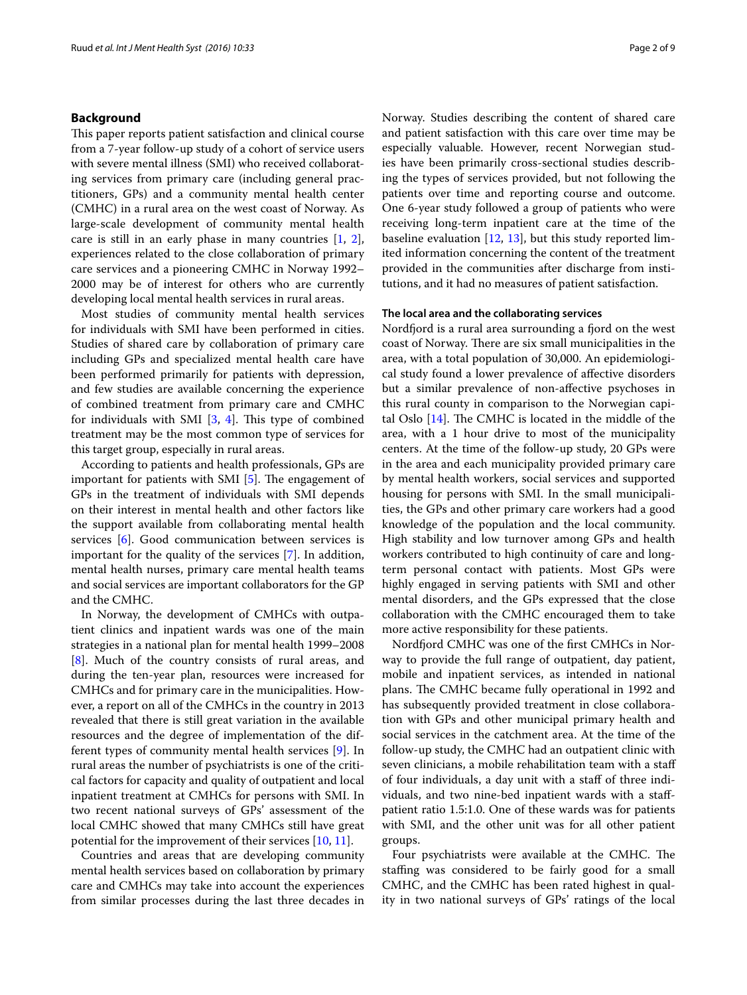## **Background**

This paper reports patient satisfaction and clinical course from a 7-year follow-up study of a cohort of service users with severe mental illness (SMI) who received collaborating services from primary care (including general practitioners, GPs) and a community mental health center (CMHC) in a rural area on the west coast of Norway. As large-scale development of community mental health care is still in an early phase in many countries [[1,](#page-8-0) [2](#page-8-1)], experiences related to the close collaboration of primary care services and a pioneering CMHC in Norway 1992– 2000 may be of interest for others who are currently developing local mental health services in rural areas.

Most studies of community mental health services for individuals with SMI have been performed in cities. Studies of shared care by collaboration of primary care including GPs and specialized mental health care have been performed primarily for patients with depression, and few studies are available concerning the experience of combined treatment from primary care and CMHC for individuals with SMI  $[3, 4]$  $[3, 4]$  $[3, 4]$  $[3, 4]$ . This type of combined treatment may be the most common type of services for this target group, especially in rural areas.

According to patients and health professionals, GPs are important for patients with SMI [[5](#page-8-4)]. The engagement of GPs in the treatment of individuals with SMI depends on their interest in mental health and other factors like the support available from collaborating mental health services [[6\]](#page-8-5). Good communication between services is important for the quality of the services [\[7\]](#page-8-6). In addition, mental health nurses, primary care mental health teams and social services are important collaborators for the GP and the CMHC.

In Norway, the development of CMHCs with outpatient clinics and inpatient wards was one of the main strategies in a national plan for mental health 1999–2008 [[8\]](#page-8-7). Much of the country consists of rural areas, and during the ten-year plan, resources were increased for CMHCs and for primary care in the municipalities. However, a report on all of the CMHCs in the country in 2013 revealed that there is still great variation in the available resources and the degree of implementation of the different types of community mental health services [\[9](#page-8-8)]. In rural areas the number of psychiatrists is one of the critical factors for capacity and quality of outpatient and local inpatient treatment at CMHCs for persons with SMI. In two recent national surveys of GPs' assessment of the local CMHC showed that many CMHCs still have great potential for the improvement of their services [\[10](#page-8-9), [11\]](#page-8-10).

Countries and areas that are developing community mental health services based on collaboration by primary care and CMHCs may take into account the experiences from similar processes during the last three decades in Norway. Studies describing the content of shared care and patient satisfaction with this care over time may be especially valuable. However, recent Norwegian studies have been primarily cross-sectional studies describing the types of services provided, but not following the patients over time and reporting course and outcome. One 6-year study followed a group of patients who were receiving long-term inpatient care at the time of the baseline evaluation  $[12, 13]$  $[12, 13]$  $[12, 13]$  $[12, 13]$ , but this study reported limited information concerning the content of the treatment provided in the communities after discharge from institutions, and it had no measures of patient satisfaction.

## **The local area and the collaborating services**

Nordfjord is a rural area surrounding a fjord on the west coast of Norway. There are six small municipalities in the area, with a total population of 30,000. An epidemiological study found a lower prevalence of affective disorders but a similar prevalence of non-affective psychoses in this rural county in comparison to the Norwegian capital Oslo [\[14](#page-8-13)]. The CMHC is located in the middle of the area, with a 1 hour drive to most of the municipality centers. At the time of the follow-up study, 20 GPs were in the area and each municipality provided primary care by mental health workers, social services and supported housing for persons with SMI. In the small municipalities, the GPs and other primary care workers had a good knowledge of the population and the local community. High stability and low turnover among GPs and health workers contributed to high continuity of care and longterm personal contact with patients. Most GPs were highly engaged in serving patients with SMI and other mental disorders, and the GPs expressed that the close collaboration with the CMHC encouraged them to take more active responsibility for these patients.

Nordfjord CMHC was one of the first CMHCs in Norway to provide the full range of outpatient, day patient, mobile and inpatient services, as intended in national plans. The CMHC became fully operational in 1992 and has subsequently provided treatment in close collaboration with GPs and other municipal primary health and social services in the catchment area. At the time of the follow-up study, the CMHC had an outpatient clinic with seven clinicians, a mobile rehabilitation team with a staff of four individuals, a day unit with a staff of three individuals, and two nine-bed inpatient wards with a staffpatient ratio 1.5:1.0. One of these wards was for patients with SMI, and the other unit was for all other patient groups.

Four psychiatrists were available at the CMHC. The staffing was considered to be fairly good for a small CMHC, and the CMHC has been rated highest in quality in two national surveys of GPs' ratings of the local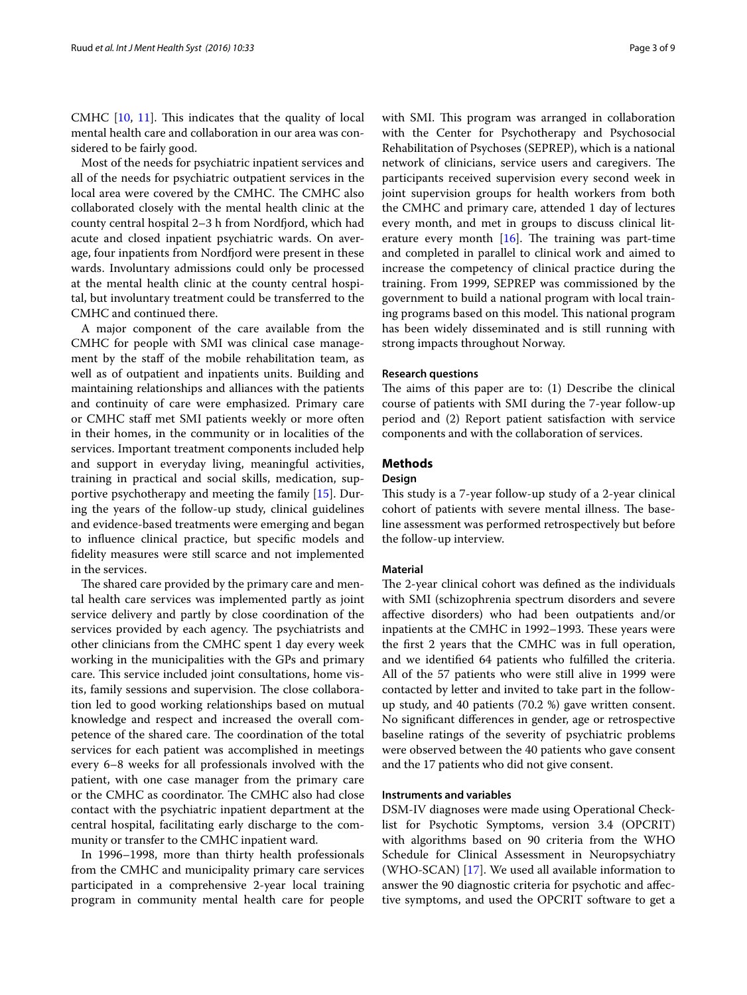CMHC [\[10,](#page-8-9) [11\]](#page-8-10). This indicates that the quality of local mental health care and collaboration in our area was considered to be fairly good.

Most of the needs for psychiatric inpatient services and all of the needs for psychiatric outpatient services in the local area were covered by the CMHC. The CMHC also collaborated closely with the mental health clinic at the county central hospital 2–3 h from Nordfjord, which had acute and closed inpatient psychiatric wards. On average, four inpatients from Nordfjord were present in these wards. Involuntary admissions could only be processed at the mental health clinic at the county central hospital, but involuntary treatment could be transferred to the CMHC and continued there.

A major component of the care available from the CMHC for people with SMI was clinical case management by the staff of the mobile rehabilitation team, as well as of outpatient and inpatients units. Building and maintaining relationships and alliances with the patients and continuity of care were emphasized. Primary care or CMHC staff met SMI patients weekly or more often in their homes, in the community or in localities of the services. Important treatment components included help and support in everyday living, meaningful activities, training in practical and social skills, medication, supportive psychotherapy and meeting the family [[15\]](#page-8-14). During the years of the follow-up study, clinical guidelines and evidence-based treatments were emerging and began to influence clinical practice, but specific models and fidelity measures were still scarce and not implemented in the services.

The shared care provided by the primary care and mental health care services was implemented partly as joint service delivery and partly by close coordination of the services provided by each agency. The psychiatrists and other clinicians from the CMHC spent 1 day every week working in the municipalities with the GPs and primary care. This service included joint consultations, home visits, family sessions and supervision. The close collaboration led to good working relationships based on mutual knowledge and respect and increased the overall competence of the shared care. The coordination of the total services for each patient was accomplished in meetings every 6–8 weeks for all professionals involved with the patient, with one case manager from the primary care or the CMHC as coordinator. The CMHC also had close contact with the psychiatric inpatient department at the central hospital, facilitating early discharge to the community or transfer to the CMHC inpatient ward.

In 1996–1998, more than thirty health professionals from the CMHC and municipality primary care services participated in a comprehensive 2-year local training program in community mental health care for people with SMI. This program was arranged in collaboration with the Center for Psychotherapy and Psychosocial Rehabilitation of Psychoses (SEPREP), which is a national network of clinicians, service users and caregivers. The participants received supervision every second week in joint supervision groups for health workers from both the CMHC and primary care, attended 1 day of lectures every month, and met in groups to discuss clinical literature every month [\[16](#page-8-15)]. The training was part-time and completed in parallel to clinical work and aimed to increase the competency of clinical practice during the training. From 1999, SEPREP was commissioned by the government to build a national program with local training programs based on this model. This national program has been widely disseminated and is still running with strong impacts throughout Norway.

## **Research questions**

The aims of this paper are to: (1) Describe the clinical course of patients with SMI during the 7-year follow-up period and (2) Report patient satisfaction with service components and with the collaboration of services.

## **Methods**

## **Design**

This study is a 7-year follow-up study of a 2-year clinical cohort of patients with severe mental illness. The baseline assessment was performed retrospectively but before the follow-up interview.

## **Material**

The 2-year clinical cohort was defined as the individuals with SMI (schizophrenia spectrum disorders and severe affective disorders) who had been outpatients and/or inpatients at the CMHC in 1992–1993. These years were the first 2 years that the CMHC was in full operation, and we identified 64 patients who fulfilled the criteria. All of the 57 patients who were still alive in 1999 were contacted by letter and invited to take part in the followup study, and 40 patients (70.2 %) gave written consent. No significant differences in gender, age or retrospective baseline ratings of the severity of psychiatric problems were observed between the 40 patients who gave consent and the 17 patients who did not give consent.

## **Instruments and variables**

DSM-IV diagnoses were made using Operational Checklist for Psychotic Symptoms, version 3.4 (OPCRIT) with algorithms based on 90 criteria from the WHO Schedule for Clinical Assessment in Neuropsychiatry (WHO-SCAN) [[17](#page-8-16)]. We used all available information to answer the 90 diagnostic criteria for psychotic and affective symptoms, and used the OPCRIT software to get a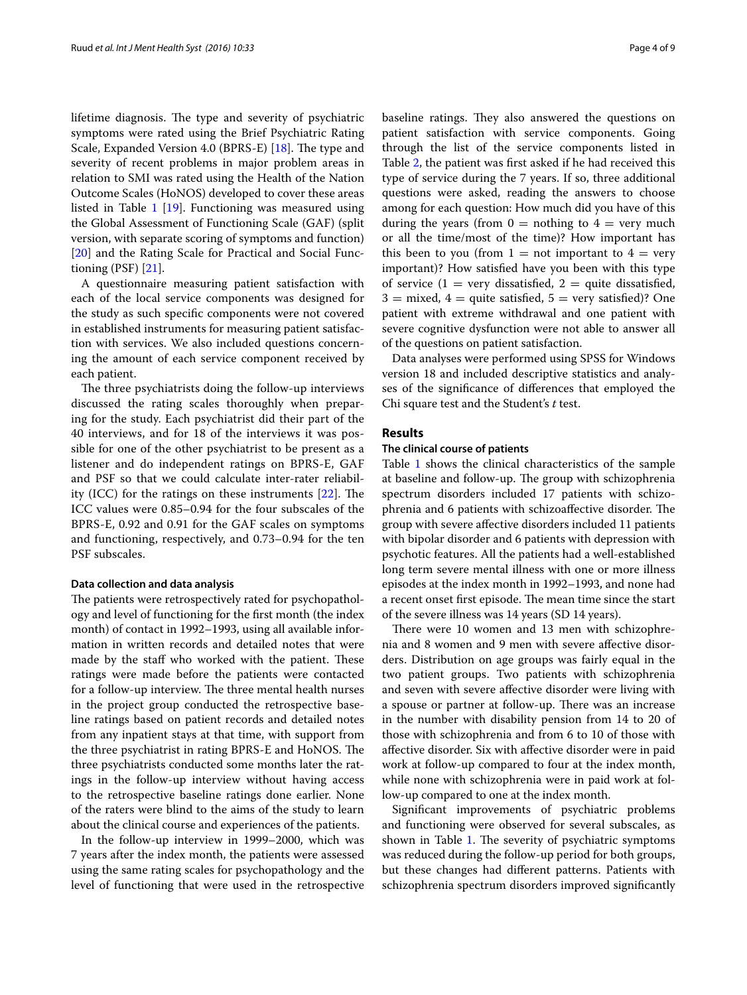lifetime diagnosis. The type and severity of psychiatric symptoms were rated using the Brief Psychiatric Rating Scale, Expanded Version 4.0 (BPRS-E) [\[18\]](#page-8-17). The type and severity of recent problems in major problem areas in relation to SMI was rated using the Health of the Nation Outcome Scales (HoNOS) developed to cover these areas listed in Table [1](#page-4-0) [[19\]](#page-8-18). Functioning was measured using the Global Assessment of Functioning Scale (GAF) (split version, with separate scoring of symptoms and function) [[20\]](#page-8-19) and the Rating Scale for Practical and Social Functioning (PSF) [\[21](#page-8-20)].

A questionnaire measuring patient satisfaction with each of the local service components was designed for the study as such specific components were not covered in established instruments for measuring patient satisfaction with services. We also included questions concerning the amount of each service component received by each patient.

The three psychiatrists doing the follow-up interviews discussed the rating scales thoroughly when preparing for the study. Each psychiatrist did their part of the 40 interviews, and for 18 of the interviews it was possible for one of the other psychiatrist to be present as a listener and do independent ratings on BPRS-E, GAF and PSF so that we could calculate inter-rater reliability (ICC) for the ratings on these instruments [\[22](#page-8-21)]. The ICC values were 0.85–0.94 for the four subscales of the BPRS-E, 0.92 and 0.91 for the GAF scales on symptoms and functioning, respectively, and 0.73–0.94 for the ten PSF subscales.

## **Data collection and data analysis**

The patients were retrospectively rated for psychopathology and level of functioning for the first month (the index month) of contact in 1992–1993, using all available information in written records and detailed notes that were made by the staff who worked with the patient. These ratings were made before the patients were contacted for a follow-up interview. The three mental health nurses in the project group conducted the retrospective baseline ratings based on patient records and detailed notes from any inpatient stays at that time, with support from the three psychiatrist in rating BPRS-E and HoNOS. The three psychiatrists conducted some months later the ratings in the follow-up interview without having access to the retrospective baseline ratings done earlier. None of the raters were blind to the aims of the study to learn about the clinical course and experiences of the patients.

In the follow-up interview in 1999–2000, which was 7 years after the index month, the patients were assessed using the same rating scales for psychopathology and the level of functioning that were used in the retrospective baseline ratings. They also answered the questions on patient satisfaction with service components. Going through the list of the service components listed in Table [2](#page-5-0), the patient was first asked if he had received this type of service during the 7 years. If so, three additional questions were asked, reading the answers to choose among for each question: How much did you have of this during the years (from  $0 =$  nothing to  $4 =$  very much or all the time/most of the time)? How important has this been to you (from  $1 = not$  important to  $4 = very$ important)? How satisfied have you been with this type of service  $(1 = \text{very dissatisfied}, 2 = \text{quite dissatisfied},$  $3 =$  mixed,  $4 =$  quite satisfied,  $5 =$  very satisfied)? One patient with extreme withdrawal and one patient with severe cognitive dysfunction were not able to answer all of the questions on patient satisfaction.

Data analyses were performed using SPSS for Windows version 18 and included descriptive statistics and analyses of the significance of differences that employed the Chi square test and the Student's *t* test.

#### **Results**

#### **The clinical course of patients**

Table [1](#page-4-0) shows the clinical characteristics of the sample at baseline and follow-up. The group with schizophrenia spectrum disorders included 17 patients with schizophrenia and 6 patients with schizoaffective disorder. The group with severe affective disorders included 11 patients with bipolar disorder and 6 patients with depression with psychotic features. All the patients had a well-established long term severe mental illness with one or more illness episodes at the index month in 1992–1993, and none had a recent onset first episode. The mean time since the start of the severe illness was 14 years (SD 14 years).

There were 10 women and 13 men with schizophrenia and 8 women and 9 men with severe affective disorders. Distribution on age groups was fairly equal in the two patient groups. Two patients with schizophrenia and seven with severe affective disorder were living with a spouse or partner at follow-up. There was an increase in the number with disability pension from 14 to 20 of those with schizophrenia and from 6 to 10 of those with affective disorder. Six with affective disorder were in paid work at follow-up compared to four at the index month, while none with schizophrenia were in paid work at follow-up compared to one at the index month.

Significant improvements of psychiatric problems and functioning were observed for several subscales, as shown in Table [1](#page-4-0). The severity of psychiatric symptoms was reduced during the follow-up period for both groups, but these changes had different patterns. Patients with schizophrenia spectrum disorders improved significantly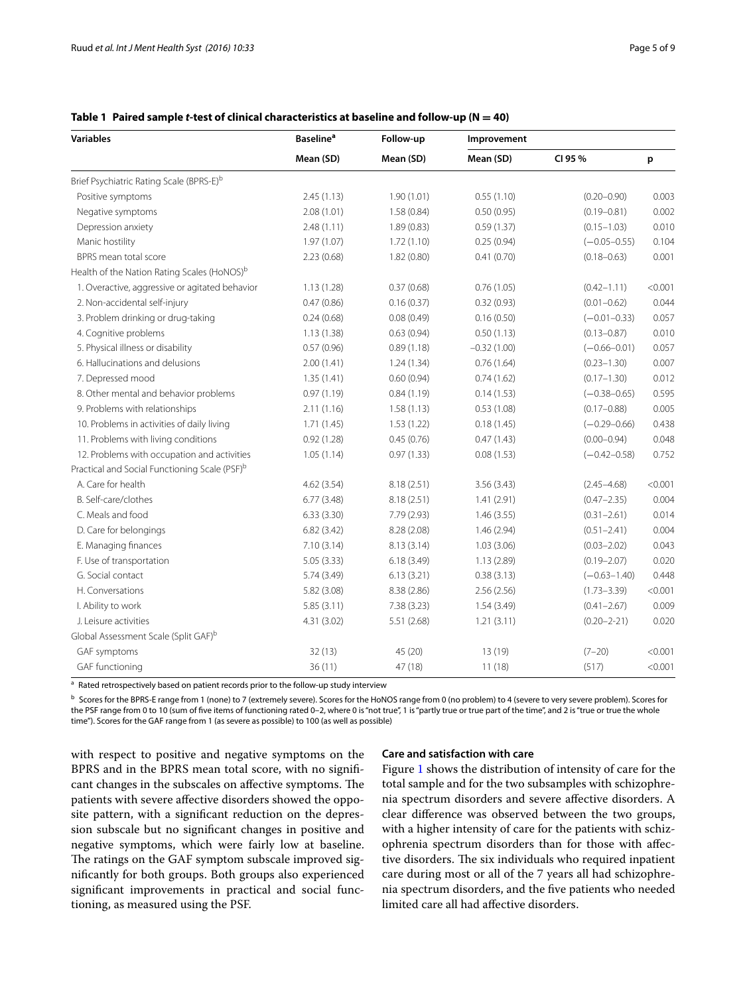| <b>Variables</b>                                          | <b>Baseline<sup>a</sup></b><br>Follow-up |             | Improvement   |                   |         |  |
|-----------------------------------------------------------|------------------------------------------|-------------|---------------|-------------------|---------|--|
|                                                           | Mean (SD)                                | Mean (SD)   | Mean (SD)     | CI 95 %           | p       |  |
| Brief Psychiatric Rating Scale (BPRS-E) <sup>b</sup>      |                                          |             |               |                   |         |  |
| Positive symptoms                                         | 2.45(1.13)                               | 1.90(1.01)  | 0.55(1.10)    | $(0.20 - 0.90)$   | 0.003   |  |
| Negative symptoms                                         | 2.08(1.01)                               | 1.58(0.84)  | 0.50(0.95)    | $(0.19 - 0.81)$   | 0.002   |  |
| Depression anxiety                                        | 2.48(1.11)                               | 1.89(0.83)  | 0.59(1.37)    | $(0.15 - 1.03)$   | 0.010   |  |
| Manic hostility                                           | 1.97(1.07)                               | 1.72(1.10)  | 0.25(0.94)    | $(-0.05 - 0.55)$  | 0.104   |  |
| BPRS mean total score                                     | 2.23(0.68)                               | 1.82(0.80)  | 0.41(0.70)    | $(0.18 - 0.63)$   | 0.001   |  |
| Health of the Nation Rating Scales (HoNOS) <sup>b</sup>   |                                          |             |               |                   |         |  |
| 1. Overactive, aggressive or agitated behavior            | 1.13(1.28)                               | 0.37(0.68)  | 0.76(1.05)    | $(0.42 - 1.11)$   | < 0.001 |  |
| 2. Non-accidental self-injury                             | 0.47(0.86)                               | 0.16(0.37)  | 0.32(0.93)    | $(0.01 - 0.62)$   | 0.044   |  |
| 3. Problem drinking or drug-taking                        | 0.24(0.68)                               | 0.08(0.49)  | 0.16(0.50)    | $(-0.01 - 0.33)$  | 0.057   |  |
| 4. Cognitive problems                                     | 1.13(1.38)                               | 0.63(0.94)  | 0.50(1.13)    | $(0.13 - 0.87)$   | 0.010   |  |
| 5. Physical illness or disability                         | 0.57(0.96)                               | 0.89(1.18)  | $-0.32(1.00)$ | $(-0.66 - 0.01)$  | 0.057   |  |
| 6. Hallucinations and delusions                           | 2.00(1.41)                               | 1.24(1.34)  | 0.76(1.64)    | $(0.23 - 1.30)$   | 0.007   |  |
| 7. Depressed mood                                         | 1.35(1.41)                               | 0.60(0.94)  | 0.74(1.62)    | $(0.17 - 1.30)$   | 0.012   |  |
| 8. Other mental and behavior problems                     | 0.97(1.19)                               | 0.84(1.19)  | 0.14(1.53)    | $(-0.38 - 0.65)$  | 0.595   |  |
| 9. Problems with relationships                            | 2.11(1.16)                               | 1.58(1.13)  | 0.53(1.08)    | $(0.17 - 0.88)$   | 0.005   |  |
| 10. Problems in activities of daily living                | 1.71(1.45)                               | 1.53(1.22)  | 0.18(1.45)    | $(-0.29 - 0.66)$  | 0.438   |  |
| 11. Problems with living conditions                       | 0.92(1.28)                               | 0.45(0.76)  | 0.47(1.43)    | $(0.00 - 0.94)$   | 0.048   |  |
| 12. Problems with occupation and activities               | 1.05(1.14)                               | 0.97(1.33)  | 0.08(1.53)    | $(-0.42 - 0.58)$  | 0.752   |  |
| Practical and Social Functioning Scale (PSF) <sup>b</sup> |                                          |             |               |                   |         |  |
| A. Care for health                                        | 4.62(3.54)                               | 8.18(2.51)  | 3.56(3.43)    | $(2.45 - 4.68)$   | < 0.001 |  |
| B. Self-care/clothes                                      | 6.77(3.48)                               | 8.18(2.51)  | 1.41(2.91)    | $(0.47 - 2.35)$   | 0.004   |  |
| C. Meals and food                                         | 6.33(3.30)                               | 7.79 (2.93) | 1.46(3.55)    | $(0.31 - 2.61)$   | 0.014   |  |
| D. Care for belongings                                    | 6.82(3.42)                               | 8.28 (2.08) | 1.46(2.94)    | $(0.51 - 2.41)$   | 0.004   |  |
| E. Managing finances                                      | 7.10(3.14)                               | 8.13(3.14)  | 1.03(3.06)    | $(0.03 - 2.02)$   | 0.043   |  |
| F. Use of transportation                                  | 5.05(3.33)                               | 6.18(3.49)  | 1.13(2.89)    | $(0.19 - 2.07)$   | 0.020   |  |
| G. Social contact                                         | 5.74 (3.49)                              | 6.13(3.21)  | 0.38(3.13)    | $(-0.63 - 1.40)$  | 0.448   |  |
| H. Conversations                                          | 5.82 (3.08)                              | 8.38 (2.86) | 2.56(2.56)    | $(1.73 - 3.39)$   | < 0.001 |  |
| I. Ability to work                                        | 5.85(3.11)                               | 7.38 (3.23) | 1.54(3.49)    | $(0.41 - 2.67)$   | 0.009   |  |
| J. Leisure activities                                     | 4.31 (3.02)                              | 5.51 (2.68) | 1.21(3.11)    | $(0.20 - 2 - 21)$ | 0.020   |  |
| Global Assessment Scale (Split GAF) <sup>b</sup>          |                                          |             |               |                   |         |  |
| GAF symptoms                                              | 32(13)                                   | 45 (20)     | 13 (19)       | $(7 - 20)$        | < 0.001 |  |
| GAF functioning                                           | 36(11)                                   | 47 (18)     | 11(18)        | (517)             | < 0.001 |  |

#### <span id="page-4-0"></span>**Table 1 Paired sample** *t***-test of clinical characteristics at baseline and follow-up (N = 40)**

<sup>a</sup> Rated retrospectively based on patient records prior to the follow-up study interview

b Scores for the BPRS-E range from 1 (none) to 7 (extremely severe). Scores for the HoNOS range from 0 (no problem) to 4 (severe to very severe problem). Scores for the PSF range from 0 to 10 (sum of five items of functioning rated 0–2, where 0 is "not true", 1 is "partly true or true part of the time", and 2 is "true or true the whole time"). Scores for the GAF range from 1 (as severe as possible) to 100 (as well as possible)

with respect to positive and negative symptoms on the BPRS and in the BPRS mean total score, with no significant changes in the subscales on affective symptoms. The patients with severe affective disorders showed the opposite pattern, with a significant reduction on the depression subscale but no significant changes in positive and negative symptoms, which were fairly low at baseline. The ratings on the GAF symptom subscale improved significantly for both groups. Both groups also experienced significant improvements in practical and social functioning, as measured using the PSF.

## **Care and satisfaction with care**

Figure [1](#page-5-1) shows the distribution of intensity of care for the total sample and for the two subsamples with schizophrenia spectrum disorders and severe affective disorders. A clear difference was observed between the two groups, with a higher intensity of care for the patients with schizophrenia spectrum disorders than for those with affective disorders. The six individuals who required inpatient care during most or all of the 7 years all had schizophrenia spectrum disorders, and the five patients who needed limited care all had affective disorders.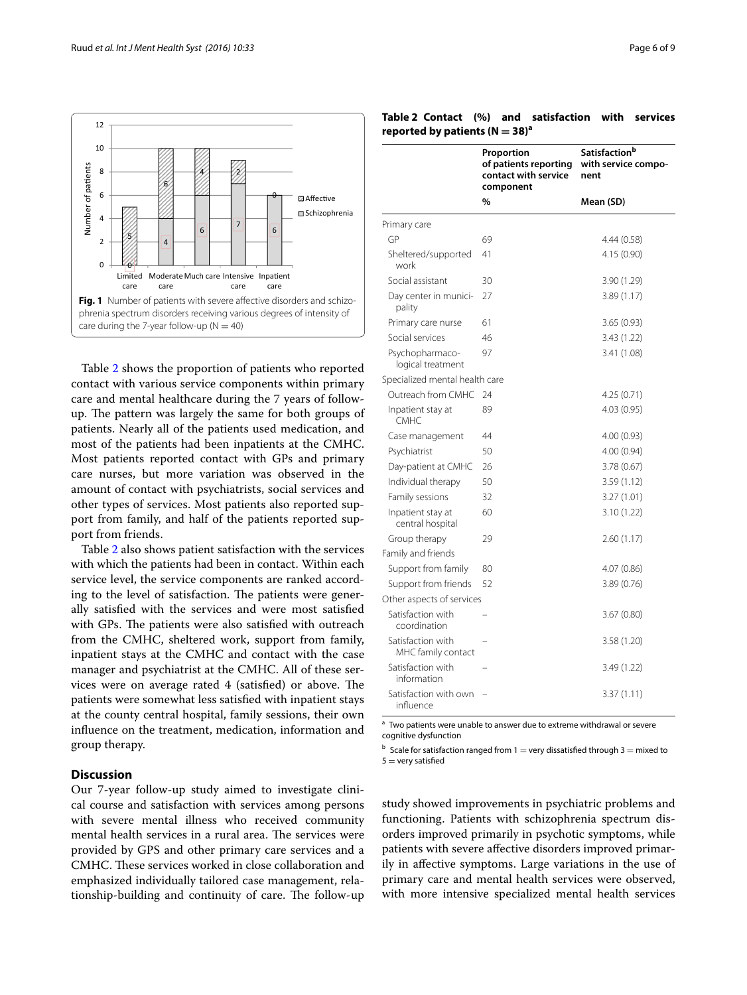

<span id="page-5-1"></span>Table [2](#page-5-0) shows the proportion of patients who reported contact with various service components within primary care and mental healthcare during the 7 years of followup. The pattern was largely the same for both groups of patients. Nearly all of the patients used medication, and most of the patients had been inpatients at the CMHC. Most patients reported contact with GPs and primary care nurses, but more variation was observed in the amount of contact with psychiatrists, social services and other types of services. Most patients also reported support from family, and half of the patients reported support from friends.

Table [2](#page-5-0) also shows patient satisfaction with the services with which the patients had been in contact. Within each service level, the service components are ranked according to the level of satisfaction. The patients were generally satisfied with the services and were most satisfied with GPs. The patients were also satisfied with outreach from the CMHC, sheltered work, support from family, inpatient stays at the CMHC and contact with the case manager and psychiatrist at the CMHC. All of these services were on average rated 4 (satisfied) or above. The patients were somewhat less satisfied with inpatient stays at the county central hospital, family sessions, their own influence on the treatment, medication, information and group therapy.

## **Discussion**

Our 7-year follow-up study aimed to investigate clinical course and satisfaction with services among persons with severe mental illness who received community mental health services in a rural area. The services were provided by GPS and other primary care services and a CMHC. These services worked in close collaboration and emphasized individually tailored case management, relationship-building and continuity of care. The follow-up

|                                         | Proportion<br>of patients reporting<br>contact with service<br>component | Satisfaction <sup>b</sup><br>with service compo-<br>nent |  |  |
|-----------------------------------------|--------------------------------------------------------------------------|----------------------------------------------------------|--|--|
|                                         | %                                                                        | Mean (SD)                                                |  |  |
| Primary care                            |                                                                          |                                                          |  |  |
| GP                                      | 69                                                                       | 4.44 (0.58)                                              |  |  |
| Sheltered/supported<br>work             | 41                                                                       | 4.15(0.90)                                               |  |  |
| Social assistant                        | 30                                                                       | 3.90 (1.29)                                              |  |  |
| Day center in munici-<br>pality         | 27                                                                       | 3.89 (1.17)                                              |  |  |
| Primary care nurse                      | 61                                                                       | 3.65 (0.93)                                              |  |  |
| Social services                         | 46                                                                       | 3.43 (1.22)                                              |  |  |
| Psychopharmaco-<br>logical treatment    | 97                                                                       | 3.41 (1.08)                                              |  |  |
| Specialized mental health care          |                                                                          |                                                          |  |  |
| Outreach from CMHC                      | 24                                                                       | 4.25(0.71)                                               |  |  |
| Inpatient stay at<br><b>CMHC</b>        | 89                                                                       | 4.03 (0.95)                                              |  |  |
| Case management                         | 44                                                                       | 4.00(0.93)                                               |  |  |
| Psychiatrist                            | 50                                                                       | 4.00(0.94)                                               |  |  |
| Day-patient at CMHC                     | 26                                                                       | 3.78 (0.67)                                              |  |  |
| Individual therapy                      | 50                                                                       | 3.59 (1.12)                                              |  |  |
| Family sessions                         | 32                                                                       | 3.27 (1.01)                                              |  |  |
| Inpatient stay at<br>central hospital   | 60                                                                       | 3.10 (1.22)                                              |  |  |
| Group therapy                           | 29                                                                       | 2.60 (1.17)                                              |  |  |
| Family and friends                      |                                                                          |                                                          |  |  |
| Support from family                     | 80                                                                       | 4.07 (0.86)                                              |  |  |
| Support from friends                    | 52                                                                       | 3.89 (0.76)                                              |  |  |
| Other aspects of services               |                                                                          |                                                          |  |  |
| Satisfaction with<br>coordination       |                                                                          | 3.67 (0.80)                                              |  |  |
| Satisfaction with<br>MHC family contact |                                                                          | 3.58 (1.20)                                              |  |  |
| Satisfaction with<br>information        |                                                                          | 3.49 (1.22)                                              |  |  |
| Satisfaction with own<br>influence      |                                                                          | 3.37 (1.11)                                              |  |  |

<sup>a</sup> Two patients were unable to answer due to extreme withdrawal or severe cognitive dysfunction

 $<sup>b</sup>$  Scale for satisfaction ranged from 1 = very dissatisfied through 3 = mixed to</sup>  $5 =$  very satisfied

study showed improvements in psychiatric problems and functioning. Patients with schizophrenia spectrum disorders improved primarily in psychotic symptoms, while patients with severe affective disorders improved primarily in affective symptoms. Large variations in the use of primary care and mental health services were observed, with more intensive specialized mental health services

<span id="page-5-0"></span>

| Table 2 Contact (%) and satisfaction with services |  |  |  |  |  |  |  |  |
|----------------------------------------------------|--|--|--|--|--|--|--|--|
| reported by patients ( $N = 38$ ) <sup>a</sup>     |  |  |  |  |  |  |  |  |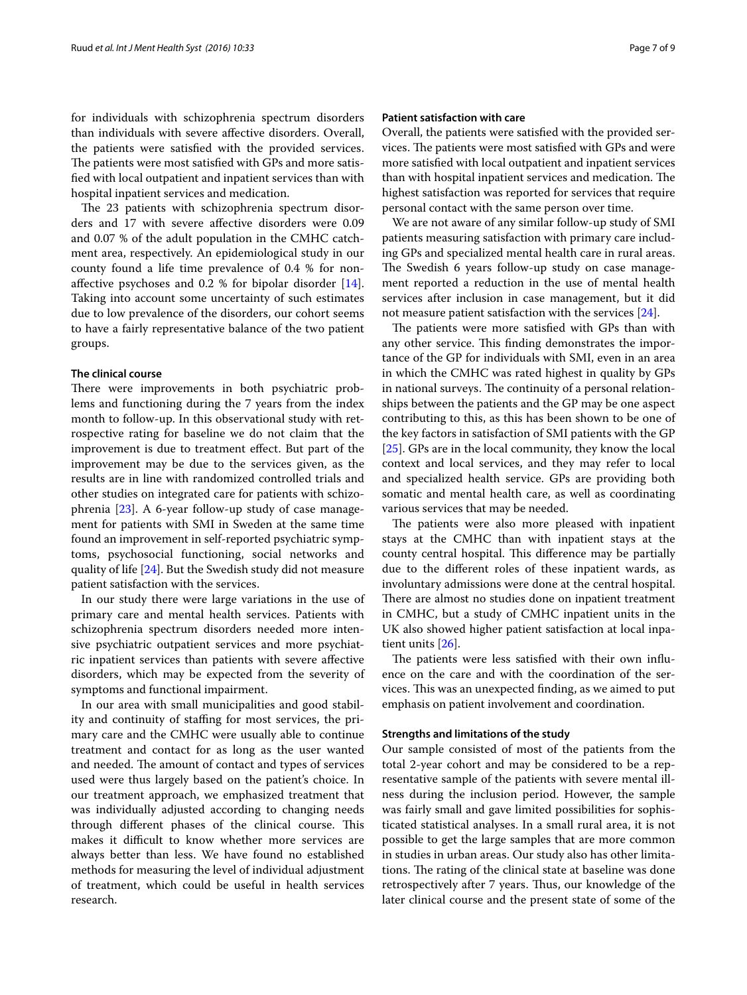for individuals with schizophrenia spectrum disorders than individuals with severe affective disorders. Overall, the patients were satisfied with the provided services. The patients were most satisfied with GPs and more satisfied with local outpatient and inpatient services than with hospital inpatient services and medication.

The 23 patients with schizophrenia spectrum disorders and 17 with severe affective disorders were 0.09 and 0.07 % of the adult population in the CMHC catchment area, respectively. An epidemiological study in our county found a life time prevalence of 0.4 % for nonaffective psychoses and 0.2 % for bipolar disorder [\[14](#page-8-13)]. Taking into account some uncertainty of such estimates due to low prevalence of the disorders, our cohort seems to have a fairly representative balance of the two patient groups.

### **The clinical course**

There were improvements in both psychiatric problems and functioning during the 7 years from the index month to follow-up. In this observational study with retrospective rating for baseline we do not claim that the improvement is due to treatment effect. But part of the improvement may be due to the services given, as the results are in line with randomized controlled trials and other studies on integrated care for patients with schizophrenia [[23\]](#page-8-22). A 6-year follow-up study of case management for patients with SMI in Sweden at the same time found an improvement in self-reported psychiatric symptoms, psychosocial functioning, social networks and quality of life [\[24\]](#page-8-23). But the Swedish study did not measure patient satisfaction with the services.

In our study there were large variations in the use of primary care and mental health services. Patients with schizophrenia spectrum disorders needed more intensive psychiatric outpatient services and more psychiatric inpatient services than patients with severe affective disorders, which may be expected from the severity of symptoms and functional impairment.

In our area with small municipalities and good stability and continuity of staffing for most services, the primary care and the CMHC were usually able to continue treatment and contact for as long as the user wanted and needed. The amount of contact and types of services used were thus largely based on the patient's choice. In our treatment approach, we emphasized treatment that was individually adjusted according to changing needs through different phases of the clinical course. This makes it difficult to know whether more services are always better than less. We have found no established methods for measuring the level of individual adjustment of treatment, which could be useful in health services research.

### **Patient satisfaction with care**

Overall, the patients were satisfied with the provided services. The patients were most satisfied with GPs and were more satisfied with local outpatient and inpatient services than with hospital inpatient services and medication. The highest satisfaction was reported for services that require personal contact with the same person over time.

We are not aware of any similar follow-up study of SMI patients measuring satisfaction with primary care including GPs and specialized mental health care in rural areas. The Swedish 6 years follow-up study on case management reported a reduction in the use of mental health services after inclusion in case management, but it did not measure patient satisfaction with the services [\[24](#page-8-23)].

The patients were more satisfied with GPs than with any other service. This finding demonstrates the importance of the GP for individuals with SMI, even in an area in which the CMHC was rated highest in quality by GPs in national surveys. The continuity of a personal relationships between the patients and the GP may be one aspect contributing to this, as this has been shown to be one of the key factors in satisfaction of SMI patients with the GP [[25\]](#page-8-24). GPs are in the local community, they know the local context and local services, and they may refer to local and specialized health service. GPs are providing both somatic and mental health care, as well as coordinating various services that may be needed.

The patients were also more pleased with inpatient stays at the CMHC than with inpatient stays at the county central hospital. This difference may be partially due to the different roles of these inpatient wards, as involuntary admissions were done at the central hospital. There are almost no studies done on inpatient treatment in CMHC, but a study of CMHC inpatient units in the UK also showed higher patient satisfaction at local inpatient units [\[26\]](#page-8-25).

The patients were less satisfied with their own influence on the care and with the coordination of the services. This was an unexpected finding, as we aimed to put emphasis on patient involvement and coordination.

### **Strengths and limitations of the study**

Our sample consisted of most of the patients from the total 2-year cohort and may be considered to be a representative sample of the patients with severe mental illness during the inclusion period. However, the sample was fairly small and gave limited possibilities for sophisticated statistical analyses. In a small rural area, it is not possible to get the large samples that are more common in studies in urban areas. Our study also has other limitations. The rating of the clinical state at baseline was done retrospectively after 7 years. Thus, our knowledge of the later clinical course and the present state of some of the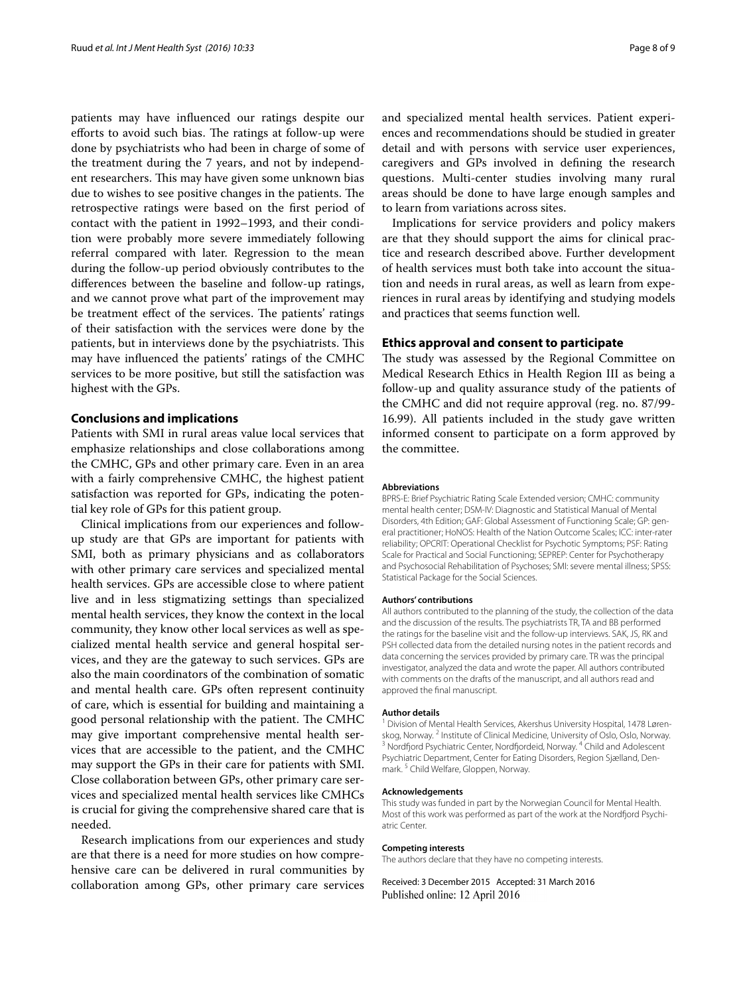patients may have influenced our ratings despite our efforts to avoid such bias. The ratings at follow-up were done by psychiatrists who had been in charge of some of the treatment during the 7 years, and not by independent researchers. This may have given some unknown bias due to wishes to see positive changes in the patients. The retrospective ratings were based on the first period of contact with the patient in 1992–1993, and their condition were probably more severe immediately following referral compared with later. Regression to the mean during the follow-up period obviously contributes to the differences between the baseline and follow-up ratings, and we cannot prove what part of the improvement may be treatment effect of the services. The patients' ratings of their satisfaction with the services were done by the patients, but in interviews done by the psychiatrists. This may have influenced the patients' ratings of the CMHC services to be more positive, but still the satisfaction was highest with the GPs.

## **Conclusions and implications**

Patients with SMI in rural areas value local services that emphasize relationships and close collaborations among the CMHC, GPs and other primary care. Even in an area with a fairly comprehensive CMHC, the highest patient satisfaction was reported for GPs, indicating the potential key role of GPs for this patient group.

Clinical implications from our experiences and followup study are that GPs are important for patients with SMI, both as primary physicians and as collaborators with other primary care services and specialized mental health services. GPs are accessible close to where patient live and in less stigmatizing settings than specialized mental health services, they know the context in the local community, they know other local services as well as specialized mental health service and general hospital services, and they are the gateway to such services. GPs are also the main coordinators of the combination of somatic and mental health care. GPs often represent continuity of care, which is essential for building and maintaining a good personal relationship with the patient. The CMHC may give important comprehensive mental health services that are accessible to the patient, and the CMHC may support the GPs in their care for patients with SMI. Close collaboration between GPs, other primary care services and specialized mental health services like CMHCs is crucial for giving the comprehensive shared care that is needed.

Research implications from our experiences and study are that there is a need for more studies on how comprehensive care can be delivered in rural communities by collaboration among GPs, other primary care services and specialized mental health services. Patient experiences and recommendations should be studied in greater detail and with persons with service user experiences, caregivers and GPs involved in defining the research questions. Multi-center studies involving many rural areas should be done to have large enough samples and to learn from variations across sites.

Implications for service providers and policy makers are that they should support the aims for clinical practice and research described above. Further development of health services must both take into account the situation and needs in rural areas, as well as learn from experiences in rural areas by identifying and studying models and practices that seems function well.

## **Ethics approval and consent to participate**

The study was assessed by the Regional Committee on Medical Research Ethics in Health Region III as being a follow-up and quality assurance study of the patients of the CMHC and did not require approval (reg. no. 87/99- 16.99). All patients included in the study gave written informed consent to participate on a form approved by the committee.

#### **Abbreviations**

BPRS-E: Brief Psychiatric Rating Scale Extended version; CMHC: community mental health center; DSM-IV: Diagnostic and Statistical Manual of Mental Disorders, 4th Edition; GAF: Global Assessment of Functioning Scale; GP: general practitioner; HoNOS: Health of the Nation Outcome Scales; ICC: inter-rater reliability; OPCRIT: Operational Checklist for Psychotic Symptoms; PSF: Rating Scale for Practical and Social Functioning; SEPREP: Center for Psychotherapy and Psychosocial Rehabilitation of Psychoses; SMI: severe mental illness; SPSS: Statistical Package for the Social Sciences.

#### **Authors' contributions**

All authors contributed to the planning of the study, the collection of the data and the discussion of the results. The psychiatrists TR, TA and BB performed the ratings for the baseline visit and the follow-up interviews. SAK, JS, RK and PSH collected data from the detailed nursing notes in the patient records and data concerning the services provided by primary care. TR was the principal investigator, analyzed the data and wrote the paper. All authors contributed with comments on the drafts of the manuscript, and all authors read and approved the final manuscript.

#### **Author details**

<sup>1</sup> Division of Mental Health Services, Akershus University Hospital, 1478 Lørenskog, Norway. <sup>2</sup> Institute of Clinical Medicine, University of Oslo, Oslo, Norway.<br><sup>3</sup> Nordfjord Psychiatric Center, Nordfjordeid, Norway. <sup>4</sup> Child and Adolescent Psychiatric Department, Center for Eating Disorders, Region Sjælland, Denmark. <sup>5</sup> Child Welfare, Gloppen, Norway.

#### **Acknowledgements**

This study was funded in part by the Norwegian Council for Mental Health. Most of this work was performed as part of the work at the Nordfjord Psychiatric Center.

#### **Competing interests**

The authors declare that they have no competing interests.

Received: 3 December 2015 Accepted: 31 March 2016Published online: 12 April 2016